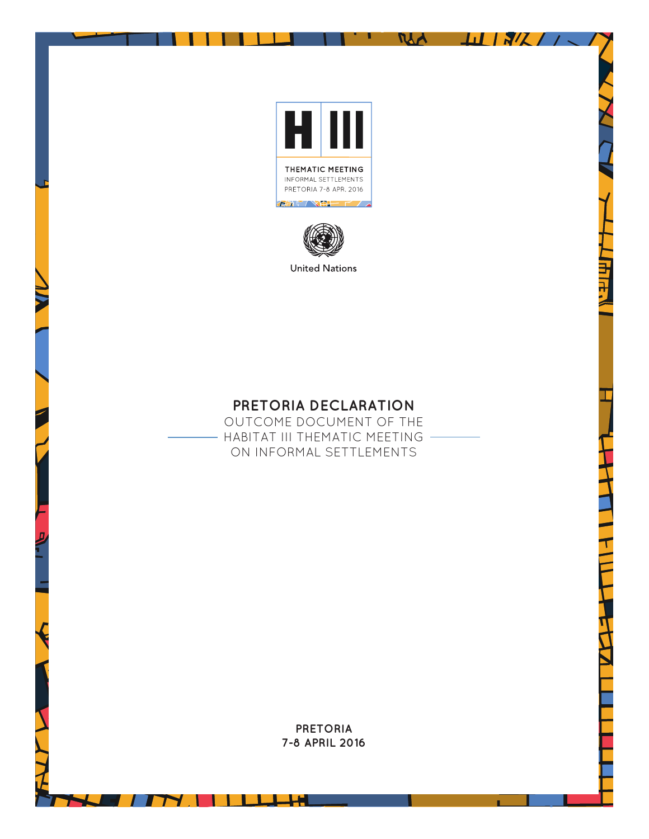

л

**MA** 

-11

 $15\%$ 



**United Nations** 

# **PRETORIA DECLARATION**

OUTCOME DOCUMENT OF THE - HABITAT III THEMATIC MEETING -ON INFORMAL SETTLEMENTS

> **PRETORIA 7-8 APRIL 2016**

'''

┓.

- 1

<u> a se</u>

ᆛ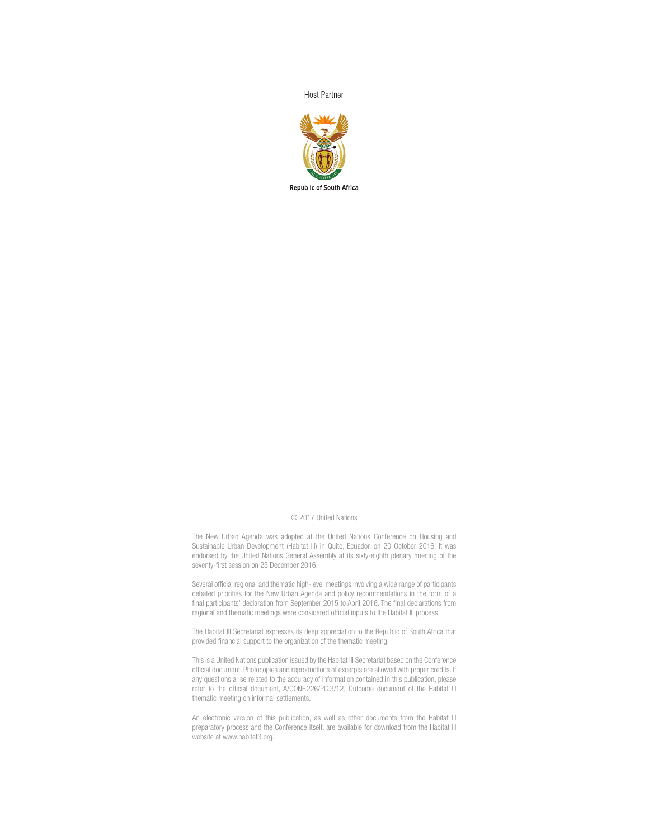**Host Partner** 



#### © 2017 United Nations

The New Urban Agenda was adopted at the United Nations Conference on Housing and Sustainable Urban Development (Habitat III) in Quito, Ecuador, on 20 October 2016. It was endorsed by the United Nations General Assembly at its sixty-eighth plenary meeting of the seventy-first session on 23 December 2016.

Several official regional and thematic high-level meetings involving a wide range of participants debated priorities for the New Urban Agenda and policy recommendations in the form of a final participants' declaration from September 2015 to April 2016. The final declarations from regional and thematic meetings were considered official inputs to the Habitat III process.

The Habitat III Secretariat expresses its deep appreciation to the Republic of South Africa that provided financial support to the organization of the thematic meeting.

This is a United Nations publication issued by the Habitat III Secretariat based on the Conference official document. Photocopies and reproductions of excerpts are allowed with proper credits. If any questions arise related to the accuracy of information contained in this publication, please refer to the official document, A/CONF.226/PC.3/12, Outcome document of the Habitat III thematic meeting on informal settlements.

An electronic version of this publication, as well as other documents from the Habitat III preparatory process and the Conference itself, are available for download from the Habitat III website at www.habitat3.org.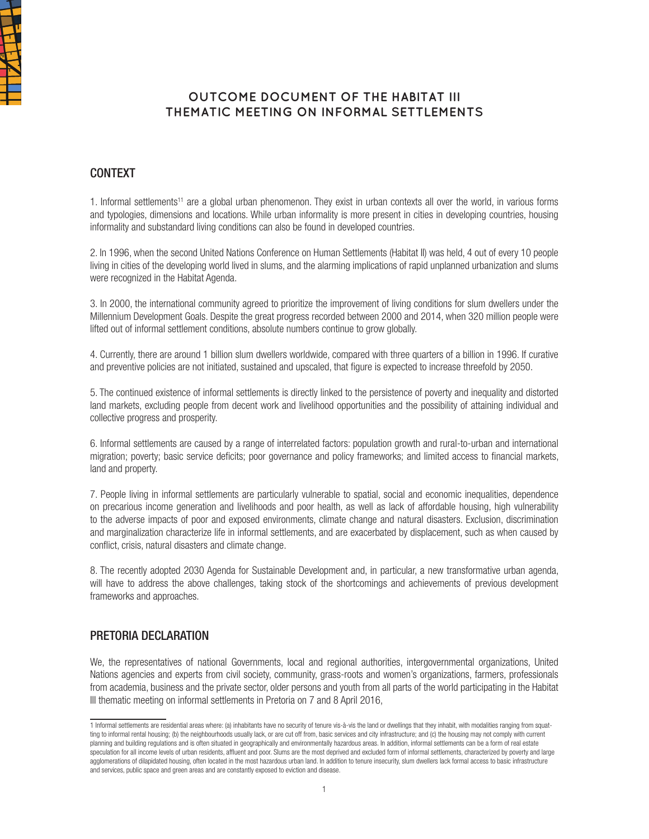

## **OUTCOME DOCUMENT OF THE HABITAT III THEMATIC MEETING ON INFORMAL SETTLEMENTS**

### CONTEXT

1. Informal settlements<sup>11</sup> are a global urban phenomenon. They exist in urban contexts all over the world, in various forms and typologies, dimensions and locations. While urban informality is more present in cities in developing countries, housing informality and substandard living conditions can also be found in developed countries.

2. In 1996, when the second United Nations Conference on Human Settlements (Habitat II) was held, 4 out of every 10 people living in cities of the developing world lived in slums, and the alarming implications of rapid unplanned urbanization and slums were recognized in the Habitat Agenda.

3. In 2000, the international community agreed to prioritize the improvement of living conditions for slum dwellers under the Millennium Development Goals. Despite the great progress recorded between 2000 and 2014, when 320 million people were lifted out of informal settlement conditions, absolute numbers continue to grow globally.

4. Currently, there are around 1 billion slum dwellers worldwide, compared with three quarters of a billion in 1996. If curative and preventive policies are not initiated, sustained and upscaled, that figure is expected to increase threefold by 2050.

5. The continued existence of informal settlements is directly linked to the persistence of poverty and inequality and distorted land markets, excluding people from decent work and livelihood opportunities and the possibility of attaining individual and collective progress and prosperity.

6. Informal settlements are caused by a range of interrelated factors: population growth and rural-to-urban and international migration; poverty; basic service deficits; poor governance and policy frameworks; and limited access to financial markets, land and property.

7. People living in informal settlements are particularly vulnerable to spatial, social and economic inequalities, dependence on precarious income generation and livelihoods and poor health, as well as lack of affordable housing, high vulnerability to the adverse impacts of poor and exposed environments, climate change and natural disasters. Exclusion, discrimination and marginalization characterize life in informal settlements, and are exacerbated by displacement, such as when caused by conflict, crisis, natural disasters and climate change.

8. The recently adopted 2030 Agenda for Sustainable Development and, in particular, a new transformative urban agenda, will have to address the above challenges, taking stock of the shortcomings and achievements of previous development frameworks and approaches.

### PRETORIA DECLARATION

We, the representatives of national Governments, local and regional authorities, intergovernmental organizations, United Nations agencies and experts from civil society, community, grass-roots and women's organizations, farmers, professionals from academia, business and the private sector, older persons and youth from all parts of the world participating in the Habitat III thematic meeting on informal settlements in Pretoria on 7 and 8 April 2016,

<sup>1</sup> Informal settlements are residential areas where: (a) inhabitants have no security of tenure vis-à-vis the land or dwellings that they inhabit, with modalities ranging from squatting to informal rental housing; (b) the neighbourhoods usually lack, or are cut off from, basic services and city infrastructure; and (c) the housing may not comply with current planning and building regulations and is often situated in geographically and environmentally hazardous areas. In addition, informal settlements can be a form of real estate speculation for all income levels of urban residents, affluent and poor. Slums are the most deprived and excluded form of informal settlements, characterized by poverty and large agglomerations of dilapidated housing, often located in the most hazardous urban land. In addition to tenure insecurity, slum dwellers lack formal access to basic infrastructure and services, public space and green areas and are constantly exposed to eviction and disease.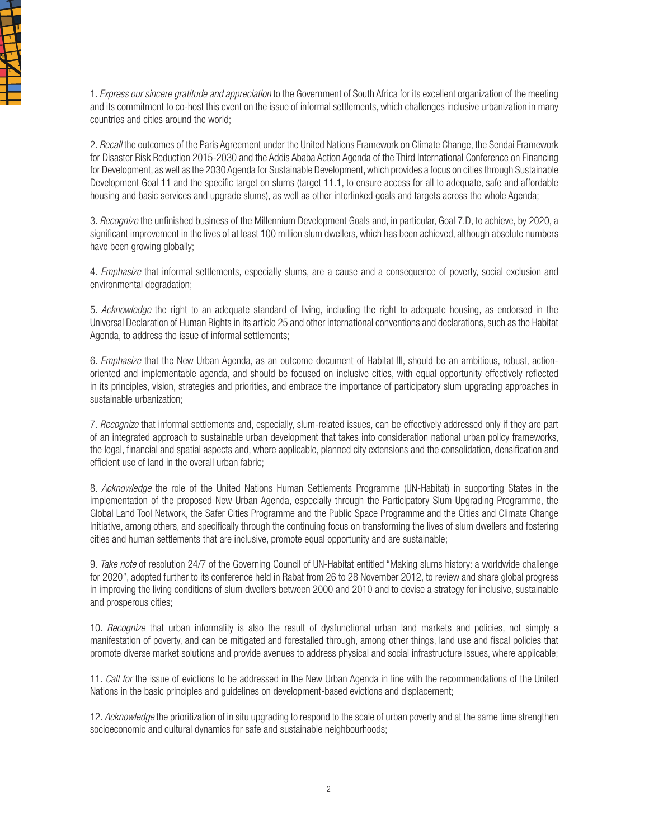

1. *Express our sincere gratitude and appreciation* to the Government of South Africa for its excellent organization of the meeting and its commitment to co-host this event on the issue of informal settlements, which challenges inclusive urbanization in many countries and cities around the world;

2. *Recall* the outcomes of the Paris Agreement under the United Nations Framework on Climate Change, the Sendai Framework for Disaster Risk Reduction 2015-2030 and the Addis Ababa Action Agenda of the Third International Conference on Financing for Development, as well as the 2030 Agenda for Sustainable Development, which provides a focus on cities through Sustainable Development Goal 11 and the specific target on slums (target 11.1, to ensure access for all to adequate, safe and affordable housing and basic services and upgrade slums), as well as other interlinked goals and targets across the whole Agenda;

3. *Recognize* the unfinished business of the Millennium Development Goals and, in particular, Goal 7.D, to achieve, by 2020, a significant improvement in the lives of at least 100 million slum dwellers, which has been achieved, although absolute numbers have been growing globally;

4. *Emphasize* that informal settlements, especially slums, are a cause and a consequence of poverty, social exclusion and environmental degradation;

5. *Acknowledge* the right to an adequate standard of living, including the right to adequate housing, as endorsed in the Universal Declaration of Human Rights in its article 25 and other international conventions and declarations, such as the Habitat Agenda, to address the issue of informal settlements;

6. *Emphasize* that the New Urban Agenda, as an outcome document of Habitat III, should be an ambitious, robust, actionoriented and implementable agenda, and should be focused on inclusive cities, with equal opportunity effectively reflected in its principles, vision, strategies and priorities, and embrace the importance of participatory slum upgrading approaches in sustainable urbanization;

7. *Recognize* that informal settlements and, especially, slum-related issues, can be effectively addressed only if they are part of an integrated approach to sustainable urban development that takes into consideration national urban policy frameworks, the legal, financial and spatial aspects and, where applicable, planned city extensions and the consolidation, densification and efficient use of land in the overall urban fabric;

8. *Acknowledge* the role of the United Nations Human Settlements Programme (UN-Habitat) in supporting States in the implementation of the proposed New Urban Agenda, especially through the Participatory Slum Upgrading Programme, the Global Land Tool Network, the Safer Cities Programme and the Public Space Programme and the Cities and Climate Change Initiative, among others, and specifically through the continuing focus on transforming the lives of slum dwellers and fostering cities and human settlements that are inclusive, promote equal opportunity and are sustainable;

9. *Take note* of resolution 24/7 of the Governing Council of UN-Habitat entitled "Making slums history: a worldwide challenge for 2020", adopted further to its conference held in Rabat from 26 to 28 November 2012, to review and share global progress in improving the living conditions of slum dwellers between 2000 and 2010 and to devise a strategy for inclusive, sustainable and prosperous cities;

10. *Recognize* that urban informality is also the result of dysfunctional urban land markets and policies, not simply a manifestation of poverty, and can be mitigated and forestalled through, among other things, land use and fiscal policies that promote diverse market solutions and provide avenues to address physical and social infrastructure issues, where applicable;

11. *Call for* the issue of evictions to be addressed in the New Urban Agenda in line with the recommendations of the United Nations in the basic principles and guidelines on development-based evictions and displacement;

12. *Acknowledge* the prioritization of in situ upgrading to respond to the scale of urban poverty and at the same time strengthen socioeconomic and cultural dynamics for safe and sustainable neighbourhoods;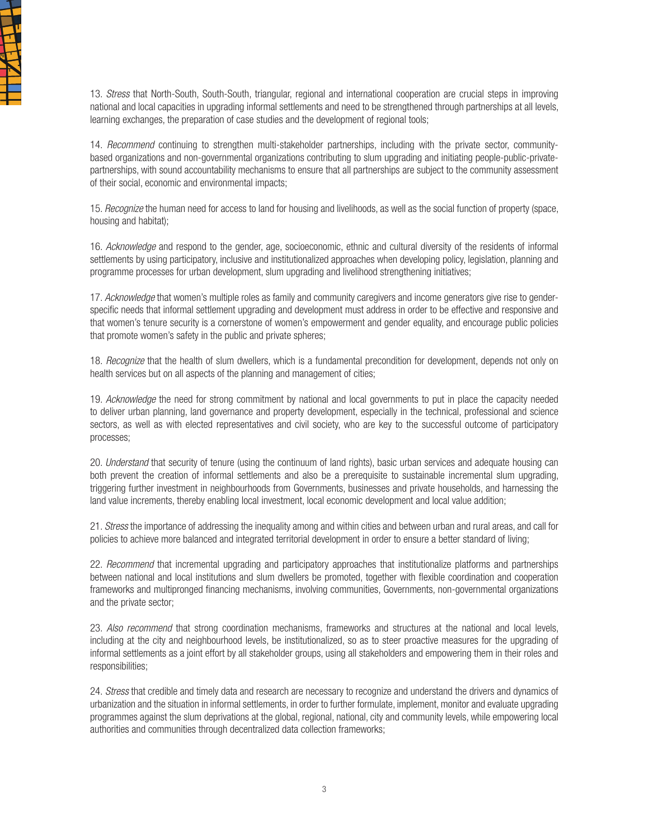

13. *Stress* that North-South, South-South, triangular, regional and international cooperation are crucial steps in improving national and local capacities in upgrading informal settlements and need to be strengthened through partnerships at all levels. learning exchanges, the preparation of case studies and the development of regional tools;

14. *Recommend* continuing to strengthen multi-stakeholder partnerships, including with the private sector, communitybased organizations and non-governmental organizations contributing to slum upgrading and initiating people-public-privatepartnerships, with sound accountability mechanisms to ensure that all partnerships are subject to the community assessment of their social, economic and environmental impacts;

15. *Recognize* the human need for access to land for housing and livelihoods, as well as the social function of property (space, housing and habitat);

16. *Acknowledge* and respond to the gender, age, socioeconomic, ethnic and cultural diversity of the residents of informal settlements by using participatory, inclusive and institutionalized approaches when developing policy, legislation, planning and programme processes for urban development, slum upgrading and livelihood strengthening initiatives;

17. *Acknowledge* that women's multiple roles as family and community caregivers and income generators give rise to genderspecific needs that informal settlement upgrading and development must address in order to be effective and responsive and that women's tenure security is a cornerstone of women's empowerment and gender equality, and encourage public policies that promote women's safety in the public and private spheres;

18. *Recognize* that the health of slum dwellers, which is a fundamental precondition for development, depends not only on health services but on all aspects of the planning and management of cities;

19. *Acknowledge* the need for strong commitment by national and local governments to put in place the capacity needed to deliver urban planning, land governance and property development, especially in the technical, professional and science sectors, as well as with elected representatives and civil society, who are key to the successful outcome of participatory processes;

20. *Understand* that security of tenure (using the continuum of land rights), basic urban services and adequate housing can both prevent the creation of informal settlements and also be a prerequisite to sustainable incremental slum upgrading, triggering further investment in neighbourhoods from Governments, businesses and private households, and harnessing the land value increments, thereby enabling local investment, local economic development and local value addition;

21. *Stress* the importance of addressing the inequality among and within cities and between urban and rural areas, and call for policies to achieve more balanced and integrated territorial development in order to ensure a better standard of living;

22. *Recommend* that incremental upgrading and participatory approaches that institutionalize platforms and partnerships between national and local institutions and slum dwellers be promoted, together with flexible coordination and cooperation frameworks and multipronged financing mechanisms, involving communities, Governments, non-governmental organizations and the private sector;

23. *Also recommend* that strong coordination mechanisms, frameworks and structures at the national and local levels, including at the city and neighbourhood levels, be institutionalized, so as to steer proactive measures for the upgrading of informal settlements as a joint effort by all stakeholder groups, using all stakeholders and empowering them in their roles and responsibilities;

24. *Stress* that credible and timely data and research are necessary to recognize and understand the drivers and dynamics of urbanization and the situation in informal settlements, in order to further formulate, implement, monitor and evaluate upgrading programmes against the slum deprivations at the global, regional, national, city and community levels, while empowering local authorities and communities through decentralized data collection frameworks;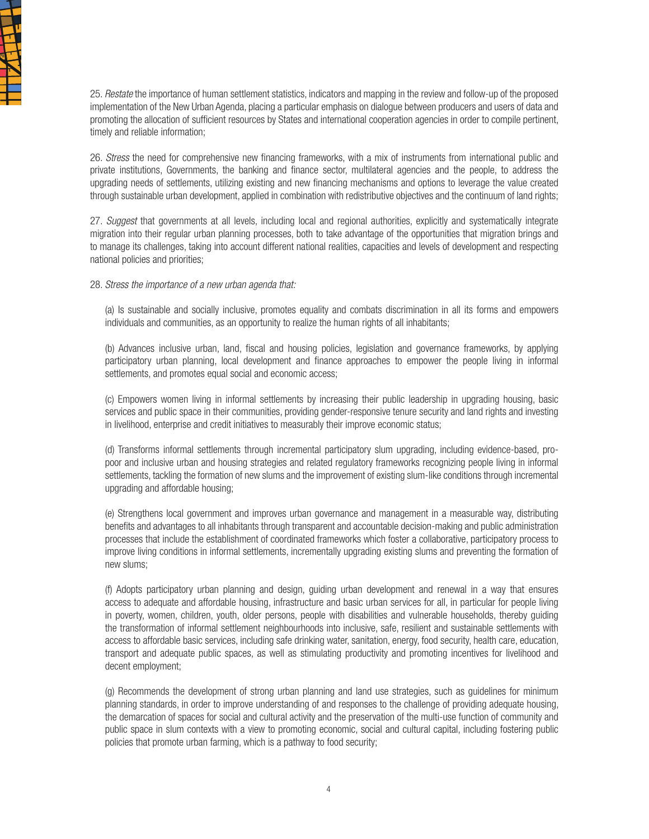

25. *Restate* the importance of human settlement statistics, indicators and mapping in the review and follow-up of the proposed implementation of the New Urban Agenda, placing a particular emphasis on dialogue between producers and users of data and promoting the allocation of sufficient resources by States and international cooperation agencies in order to compile pertinent, timely and reliable information;

26. *Stress* the need for comprehensive new financing frameworks, with a mix of instruments from international public and private institutions, Governments, the banking and finance sector, multilateral agencies and the people, to address the upgrading needs of settlements, utilizing existing and new financing mechanisms and options to leverage the value created through sustainable urban development, applied in combination with redistributive objectives and the continuum of land rights;

27. *Suggest* that governments at all levels, including local and regional authorities, explicitly and systematically integrate migration into their regular urban planning processes, both to take advantage of the opportunities that migration brings and to manage its challenges, taking into account different national realities, capacities and levels of development and respecting national policies and priorities;

#### 28. *Stress the importance of a new urban agenda that:*

(a) Is sustainable and socially inclusive, promotes equality and combats discrimination in all its forms and empowers individuals and communities, as an opportunity to realize the human rights of all inhabitants;

(b) Advances inclusive urban, land, fiscal and housing policies, legislation and governance frameworks, by applying participatory urban planning, local development and finance approaches to empower the people living in informal settlements, and promotes equal social and economic access;

(c) Empowers women living in informal settlements by increasing their public leadership in upgrading housing, basic services and public space in their communities, providing gender-responsive tenure security and land rights and investing in livelihood, enterprise and credit initiatives to measurably their improve economic status;

(d) Transforms informal settlements through incremental participatory slum upgrading, including evidence-based, propoor and inclusive urban and housing strategies and related regulatory frameworks recognizing people living in informal settlements, tackling the formation of new slums and the improvement of existing slum-like conditions through incremental upgrading and affordable housing;

(e) Strengthens local government and improves urban governance and management in a measurable way, distributing benefits and advantages to all inhabitants through transparent and accountable decision-making and public administration processes that include the establishment of coordinated frameworks which foster a collaborative, participatory process to improve living conditions in informal settlements, incrementally upgrading existing slums and preventing the formation of new slums;

(f) Adopts participatory urban planning and design, guiding urban development and renewal in a way that ensures access to adequate and affordable housing, infrastructure and basic urban services for all, in particular for people living in poverty, women, children, youth, older persons, people with disabilities and vulnerable households, thereby guiding the transformation of informal settlement neighbourhoods into inclusive, safe, resilient and sustainable settlements with access to affordable basic services, including safe drinking water, sanitation, energy, food security, health care, education, transport and adequate public spaces, as well as stimulating productivity and promoting incentives for livelihood and decent employment;

(g) Recommends the development of strong urban planning and land use strategies, such as guidelines for minimum planning standards, in order to improve understanding of and responses to the challenge of providing adequate housing, the demarcation of spaces for social and cultural activity and the preservation of the multi-use function of community and public space in slum contexts with a view to promoting economic, social and cultural capital, including fostering public policies that promote urban farming, which is a pathway to food security;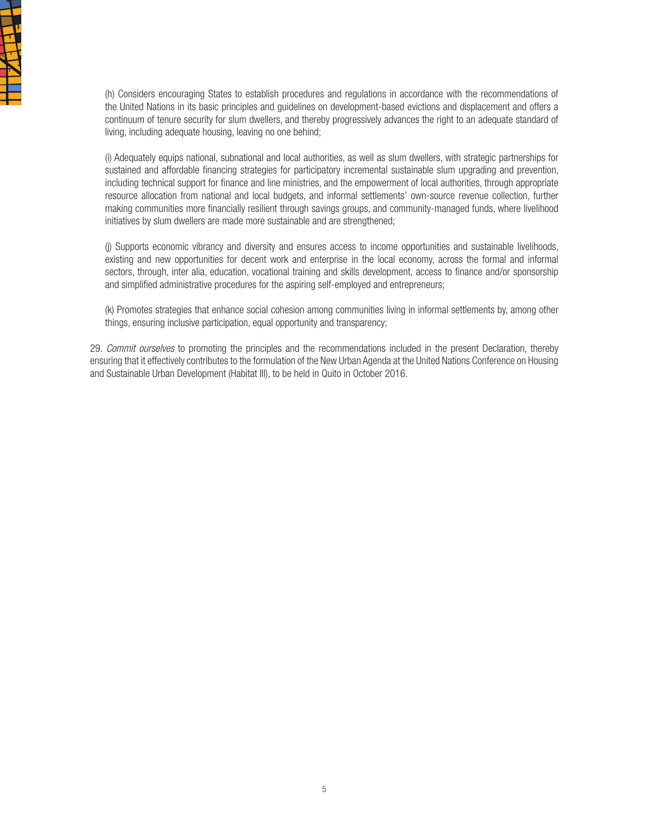

(h) Considers encouraging States to establish procedures and regulations in accordance with the recommendations of the United Nations in its basic principles and guidelines on development-based evictions and displacement and offers a continuum of tenure security for slum dwellers, and thereby progressively advances the right to an adequate standard of living, including adequate housing, leaving no one behind;

(i) Adequately equips national, subnational and local authorities, as well as slum dwellers, with strategic partnerships for sustained and affordable financing strategies for participatory incremental sustainable slum upgrading and prevention, including technical support for finance and line ministries, and the empowerment of local authorities, through appropriate resource allocation from national and local budgets, and informal settlements' own-source revenue collection, further making communities more financially resilient through savings groups, and community-managed funds, where livelihood initiatives by slum dwellers are made more sustainable and are strengthened;

(j) Supports economic vibrancy and diversity and ensures access to income opportunities and sustainable livelihoods, existing and new opportunities for decent work and enterprise in the local economy, across the formal and informal sectors, through, inter alia, education, vocational training and skills development, access to finance and/or sponsorship and simplified administrative procedures for the aspiring self-employed and entrepreneurs;

(k) Promotes strategies that enhance social cohesion among communities living in informal settlements by, among other things, ensuring inclusive participation, equal opportunity and transparency;

29. *Commit ourselves* to promoting the principles and the recommendations included in the present Declaration, thereby ensuring that it effectively contributes to the formulation of the New Urban Agenda at the United Nations Conference on Housing and Sustainable Urban Development (Habitat III), to be held in Quito in October 2016.